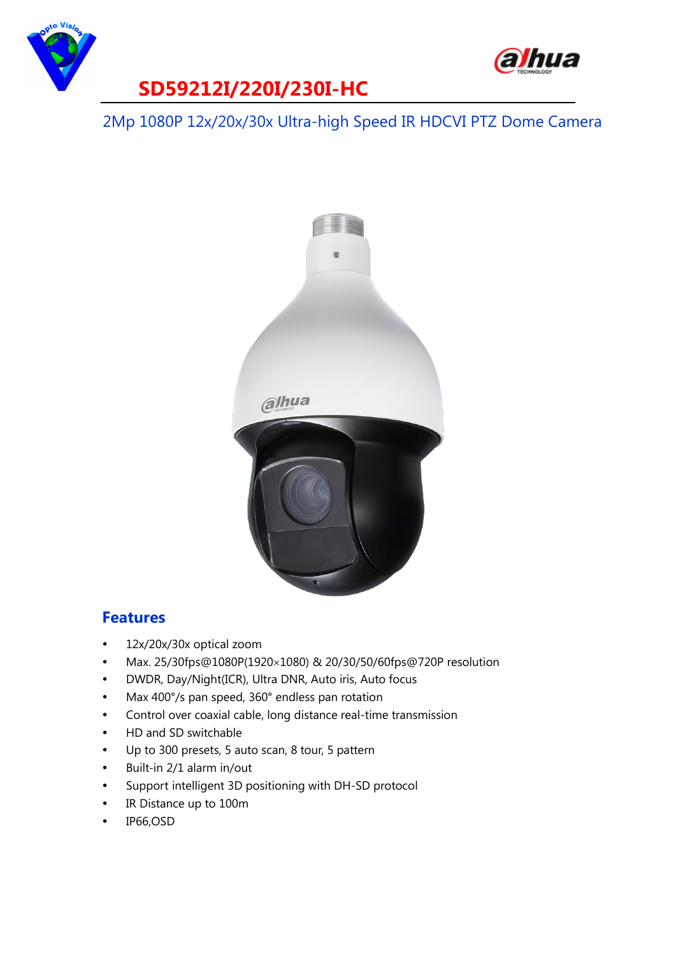



## **SD59212I/220I/230I-HC**

2Mp 1080P 12x/20x/30x Ultra-high Speed IR HDCVI PTZ Dome Camera



#### **Features**

- 12x/20x/30x optical zoom
- Max. 25/30fps@1080P(1920×1080) & 20/30/50/60fps@720P resolution
- DWDR, Day/Night(ICR), Ultra DNR, Auto iris, Auto focus
- Max 400°/s pan speed, 360° endless pan rotation
- Control over coaxial cable, long distance real-time transmission
- HD and SD switchable
- Up to 300 presets, 5 auto scan, 8 tour, 5 pattern
- Built-in 2/1 alarm in/out
- Support intelligent 3D positioning with DH-SD protocol
- IR Distance up to 100m
- IP66,OSD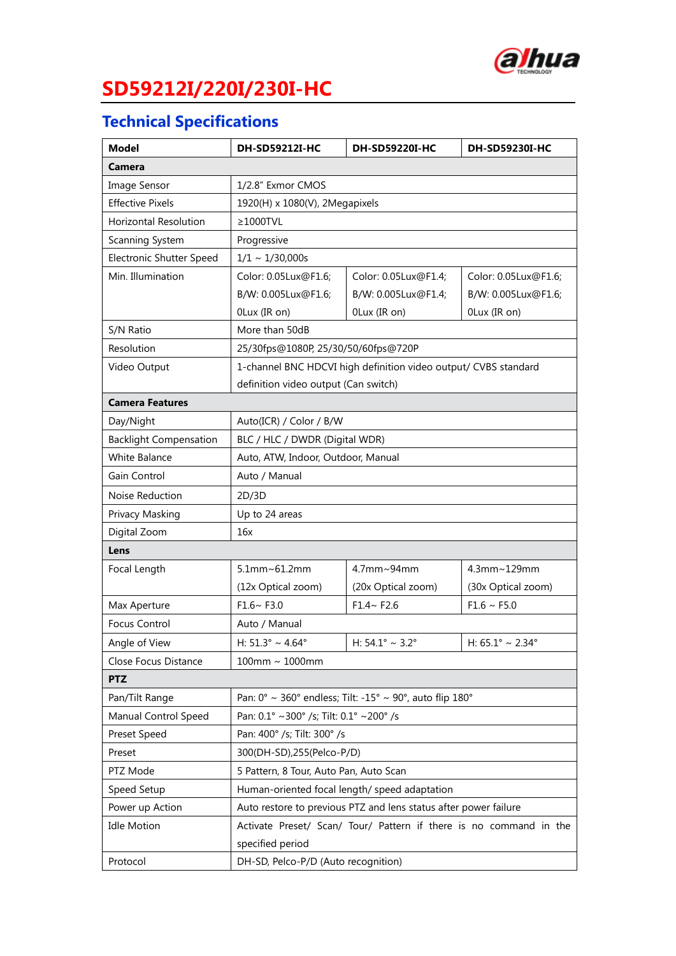

# **SD59212I/220I/230I-HC**

## **Technical Specifications**

| <b>Model</b>                    | DH-SD59212I-HC                                                                           | DH-SD59220I-HC                     | DH-SD59230I-HC                      |
|---------------------------------|------------------------------------------------------------------------------------------|------------------------------------|-------------------------------------|
| Camera                          |                                                                                          |                                    |                                     |
| Image Sensor                    | 1/2.8" Exmor CMOS                                                                        |                                    |                                     |
| <b>Effective Pixels</b>         | 1920(H) x 1080(V), 2Megapixels                                                           |                                    |                                     |
| <b>Horizontal Resolution</b>    | $\geq$ 1000TVL                                                                           |                                    |                                     |
| Scanning System                 | Progressive                                                                              |                                    |                                     |
| <b>Electronic Shutter Speed</b> | $1/1 \sim 1/30,000$ s                                                                    |                                    |                                     |
| Min. Illumination               | Color: 0.05Lux@F1.6;                                                                     | Color: 0.05Lux@F1.4;               | Color: 0.05Lux@F1.6;                |
|                                 | B/W: 0.005Lux@F1.6;                                                                      | B/W: 0.005Lux@F1.4;                | B/W: 0.005Lux@F1.6;                 |
|                                 | OLux (IR on)                                                                             | OLux (IR on)                       | OLux (IR on)                        |
| S/N Ratio                       | More than 50dB                                                                           |                                    |                                     |
| Resolution                      | 25/30fps@1080P, 25/30/50/60fps@720P                                                      |                                    |                                     |
| Video Output                    | 1-channel BNC HDCVI high definition video output/ CVBS standard                          |                                    |                                     |
|                                 | definition video output (Can switch)                                                     |                                    |                                     |
| <b>Camera Features</b>          |                                                                                          |                                    |                                     |
| Day/Night                       | Auto(ICR) / Color / B/W                                                                  |                                    |                                     |
| <b>Backlight Compensation</b>   | BLC / HLC / DWDR (Digital WDR)                                                           |                                    |                                     |
| <b>White Balance</b>            | Auto, ATW, Indoor, Outdoor, Manual                                                       |                                    |                                     |
| Gain Control                    | Auto / Manual                                                                            |                                    |                                     |
| Noise Reduction                 | 2D/3D                                                                                    |                                    |                                     |
| Privacy Masking                 | Up to 24 areas                                                                           |                                    |                                     |
| Digital Zoom                    | 16x                                                                                      |                                    |                                     |
| Lens                            |                                                                                          |                                    |                                     |
| Focal Length                    | $5.1$ mm~ $61.2$ mm                                                                      | 4.7mm~94mm                         | 4.3mm~129mm                         |
|                                 | (12x Optical zoom)                                                                       | (20x Optical zoom)                 | (30x Optical zoom)                  |
| Max Aperture                    | $F1.6~$ F3.0                                                                             | $F1.4~$ F2.6                       | $F1.6 \sim F5.0$                    |
| Focus Control                   | Auto / Manual                                                                            |                                    |                                     |
| Angle of View                   | H: $51.3^{\circ} \sim 4.64^{\circ}$                                                      | H: $54.1^{\circ} \sim 3.2^{\circ}$ | H: $65.1^{\circ} \sim 2.34^{\circ}$ |
| Close Focus Distance            | $100$ mm ~ $1000$ mm                                                                     |                                    |                                     |
| <b>PTZ</b>                      |                                                                                          |                                    |                                     |
| Pan/Tilt Range                  | Pan: $0^{\circ} \sim 360^{\circ}$ endless; Tilt: -15° $\sim 90^{\circ}$ , auto flip 180° |                                    |                                     |
| Manual Control Speed            | Pan: 0.1° ~300° /s; Tilt: 0.1° ~200° /s                                                  |                                    |                                     |
| Preset Speed                    | Pan: 400° /s; Tilt: 300° /s                                                              |                                    |                                     |
| Preset                          | 300(DH-SD),255(Pelco-P/D)                                                                |                                    |                                     |
| PTZ Mode                        | 5 Pattern, 8 Tour, Auto Pan, Auto Scan                                                   |                                    |                                     |
| Speed Setup                     | Human-oriented focal length/ speed adaptation                                            |                                    |                                     |
| Power up Action                 | Auto restore to previous PTZ and lens status after power failure                         |                                    |                                     |
| <b>Idle Motion</b>              | Activate Preset/ Scan/ Tour/ Pattern if there is no command in the                       |                                    |                                     |
|                                 | specified period                                                                         |                                    |                                     |
| Protocol                        | DH-SD, Pelco-P/D (Auto recognition)                                                      |                                    |                                     |